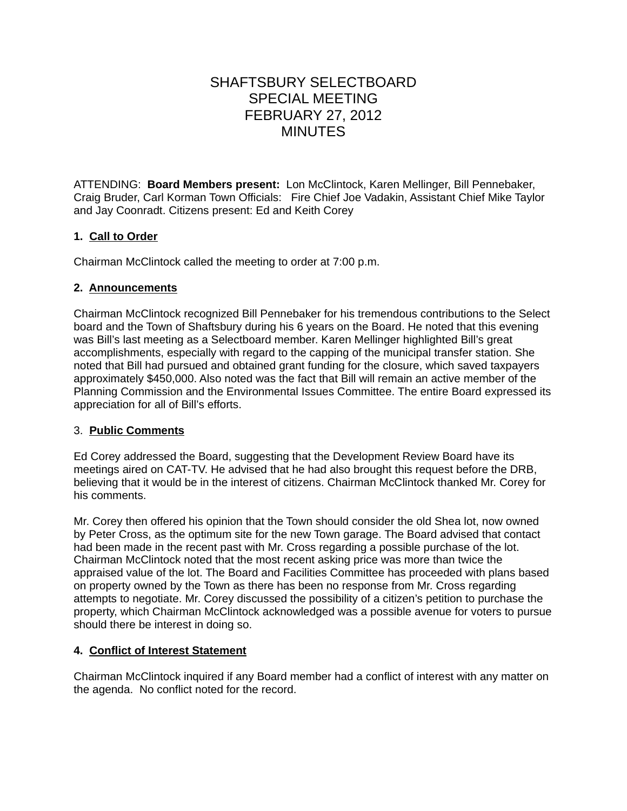# SHAFTSBURY SELECTBOARD SPECIAL MEETING FEBRUARY 27, 2012 MINUTES

ATTENDING: **Board Members present:** Lon McClintock, Karen Mellinger, Bill Pennebaker, Craig Bruder, Carl Korman Town Officials: Fire Chief Joe Vadakin, Assistant Chief Mike Taylor and Jay Coonradt. Citizens present: Ed and Keith Corey

## **1. Call to Order**

Chairman McClintock called the meeting to order at 7:00 p.m.

## **2. Announcements**

Chairman McClintock recognized Bill Pennebaker for his tremendous contributions to the Select board and the Town of Shaftsbury during his 6 years on the Board. He noted that this evening was Bill's last meeting as a Selectboard member. Karen Mellinger highlighted Bill's great accomplishments, especially with regard to the capping of the municipal transfer station. She noted that Bill had pursued and obtained grant funding for the closure, which saved taxpayers approximately \$450,000. Also noted was the fact that Bill will remain an active member of the Planning Commission and the Environmental Issues Committee. The entire Board expressed its appreciation for all of Bill's efforts.

## 3. **Public Comments**

Ed Corey addressed the Board, suggesting that the Development Review Board have its meetings aired on CAT-TV. He advised that he had also brought this request before the DRB, believing that it would be in the interest of citizens. Chairman McClintock thanked Mr. Corey for his comments.

Mr. Corey then offered his opinion that the Town should consider the old Shea lot, now owned by Peter Cross, as the optimum site for the new Town garage. The Board advised that contact had been made in the recent past with Mr. Cross regarding a possible purchase of the lot. Chairman McClintock noted that the most recent asking price was more than twice the appraised value of the lot. The Board and Facilities Committee has proceeded with plans based on property owned by the Town as there has been no response from Mr. Cross regarding attempts to negotiate. Mr. Corey discussed the possibility of a citizen's petition to purchase the property, which Chairman McClintock acknowledged was a possible avenue for voters to pursue should there be interest in doing so.

## **4. Conflict of Interest Statement**

Chairman McClintock inquired if any Board member had a conflict of interest with any matter on the agenda. No conflict noted for the record.